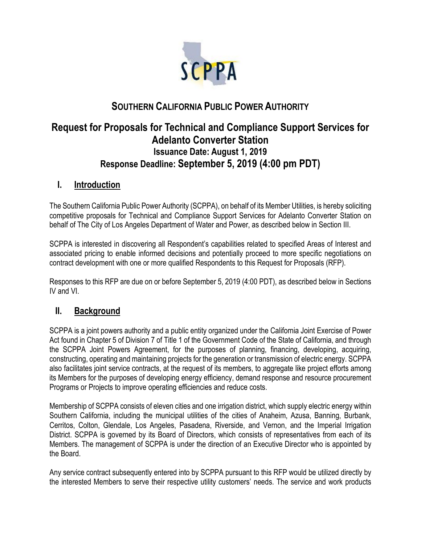

# **SOUTHERN CALIFORNIA PUBLIC POWER AUTHORITY**

# **Request for Proposals for Technical and Compliance Support Services for Adelanto Converter Station Issuance Date: August 1, 2019 Response Deadline: September 5, 2019 (4:00 pm PDT)**

## **I. Introduction**

The Southern California Public Power Authority (SCPPA), on behalf of its Member Utilities, is hereby soliciting competitive proposals for Technical and Compliance Support Services for Adelanto Converter Station on behalf of The City of Los Angeles Department of Water and Power, as described below in Section III.

SCPPA is interested in discovering all Respondent's capabilities related to specified Areas of Interest and associated pricing to enable informed decisions and potentially proceed to more specific negotiations on contract development with one or more qualified Respondents to this Request for Proposals (RFP).

Responses to this RFP are due on or before September 5, 2019 (4:00 PDT), as described below in Sections IV and VI.

## **II. Background**

SCPPA is a joint powers authority and a public entity organized under the California Joint Exercise of Power Act found in Chapter 5 of Division 7 of Title 1 of the Government Code of the State of California, and through the SCPPA Joint Powers Agreement, for the purposes of planning, financing, developing, acquiring, constructing, operating and maintaining projects for the generation or transmission of electric energy. SCPPA also facilitates joint service contracts, at the request of its members, to aggregate like project efforts among its Members for the purposes of developing energy efficiency, demand response and resource procurement Programs or Projects to improve operating efficiencies and reduce costs.

Membership of SCPPA consists of eleven cities and one irrigation district, which supply electric energy within Southern California, including the municipal utilities of the cities of Anaheim, Azusa, Banning, Burbank, Cerritos, Colton, Glendale, Los Angeles, Pasadena, Riverside, and Vernon, and the Imperial Irrigation District. SCPPA is governed by its Board of Directors, which consists of representatives from each of its Members. The management of SCPPA is under the direction of an Executive Director who is appointed by the Board.

Any service contract subsequently entered into by SCPPA pursuant to this RFP would be utilized directly by the interested Members to serve their respective utility customers' needs. The service and work products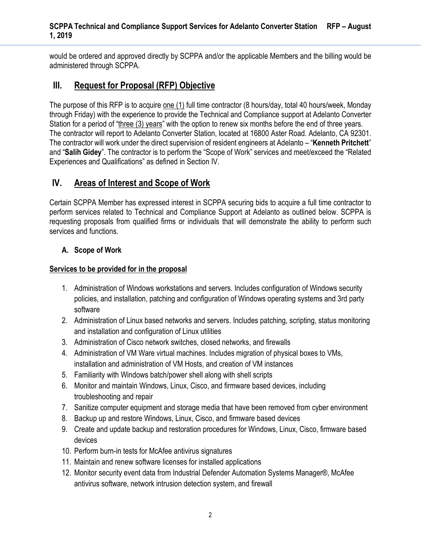would be ordered and approved directly by SCPPA and/or the applicable Members and the billing would be administered through SCPPA.

## **III. Request for Proposal (RFP) Objective**

The purpose of this RFP is to acquire one (1) full time contractor (8 hours/day, total 40 hours/week, Monday through Friday) with the experience to provide the Technical and Compliance support at Adelanto Converter Station for a period of "three (3) years" with the option to renew six months before the end of three years. The contractor will report to Adelanto Converter Station, located at 16800 Aster Road. Adelanto, CA 92301. The contractor will work under the direct supervision of resident engineers at Adelanto – "**Kenneth Pritchett**" and "**Salih Gidey**". The contractor is to perform the "Scope of Work" services and meet/exceed the "Related Experiences and Qualifications" as defined in Section IV.

# **IV. Areas of Interest and Scope of Work**

Certain SCPPA Member has expressed interest in SCPPA securing bids to acquire a full time contractor to perform services related to Technical and Compliance Support at Adelanto as outlined below. SCPPA is requesting proposals from qualified firms or individuals that will demonstrate the ability to perform such services and functions.

## **A. Scope of Work**

#### **Services to be provided for in the proposal**

- 1. Administration of Windows workstations and servers. Includes configuration of Windows security policies, and installation, patching and configuration of Windows operating systems and 3rd party software
- 2. Administration of Linux based networks and servers. Includes patching, scripting, status monitoring and installation and configuration of Linux utilities
- 3. Administration of Cisco network switches, closed networks, and firewalls
- 4. Administration of VM Ware virtual machines. Includes migration of physical boxes to VMs, installation and administration of VM Hosts, and creation of VM instances
- 5. Familiarity with Windows batch/power shell along with shell scripts
- 6. Monitor and maintain Windows, Linux, Cisco, and firmware based devices, including troubleshooting and repair
- 7. Sanitize computer equipment and storage media that have been removed from cyber environment
- 8. Backup up and restore Windows, Linux, Cisco, and firmware based devices
- 9. Create and update backup and restoration procedures for Windows, Linux, Cisco, firmware based devices
- 10. Perform burn-in tests for McAfee antivirus signatures
- 11. Maintain and renew software licenses for installed applications
- 12. Monitor security event data from Industrial Defender Automation Systems Manager®, McAfee antivirus software, network intrusion detection system, and firewall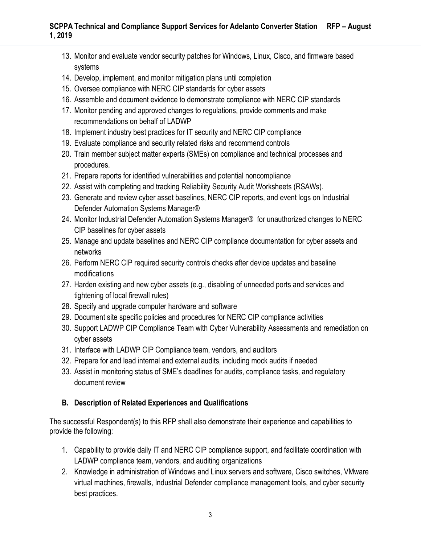- 13. Monitor and evaluate vendor security patches for Windows, Linux, Cisco, and firmware based systems
- 14. Develop, implement, and monitor mitigation plans until completion
- 15. Oversee compliance with NERC CIP standards for cyber assets
- 16. Assemble and document evidence to demonstrate compliance with NERC CIP standards
- 17. Monitor pending and approved changes to regulations, provide comments and make recommendations on behalf of LADWP
- 18. Implement industry best practices for IT security and NERC CIP compliance
- 19. Evaluate compliance and security related risks and recommend controls
- 20. Train member subject matter experts (SMEs) on compliance and technical processes and procedures.
- 21. Prepare reports for identified vulnerabilities and potential noncompliance
- 22. Assist with completing and tracking Reliability Security Audit Worksheets (RSAWs).
- 23. Generate and review cyber asset baselines, NERC CIP reports, and event logs on Industrial Defender Automation Systems Manager®
- 24. Monitor Industrial Defender Automation Systems Manager® for unauthorized changes to NERC CIP baselines for cyber assets
- 25. Manage and update baselines and NERC CIP compliance documentation for cyber assets and networks
- 26. Perform NERC CIP required security controls checks after device updates and baseline modifications
- 27. Harden existing and new cyber assets (e.g., disabling of unneeded ports and services and tightening of local firewall rules)
- 28. Specify and upgrade computer hardware and software
- 29. Document site specific policies and procedures for NERC CIP compliance activities
- 30. Support LADWP CIP Compliance Team with Cyber Vulnerability Assessments and remediation on cyber assets
- 31. Interface with LADWP CIP Compliance team, vendors, and auditors
- 32. Prepare for and lead internal and external audits, including mock audits if needed
- 33. Assist in monitoring status of SME's deadlines for audits, compliance tasks, and regulatory document review

## **B. Description of Related Experiences and Qualifications**

The successful Respondent(s) to this RFP shall also demonstrate their experience and capabilities to provide the following:

- 1. Capability to provide daily IT and NERC CIP compliance support, and facilitate coordination with LADWP compliance team, vendors, and auditing organizations
- 2. Knowledge in administration of Windows and Linux servers and software, Cisco switches, VMware virtual machines, firewalls, Industrial Defender compliance management tools, and cyber security best practices.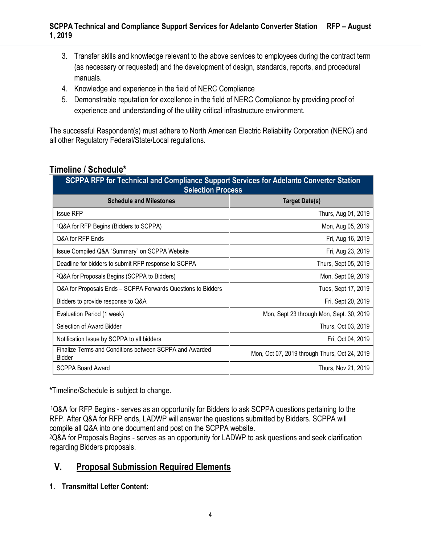- 3. Transfer skills and knowledge relevant to the above services to employees during the contract term (as necessary or requested) and the development of design, standards, reports, and procedural manuals.
- 4. Knowledge and experience in the field of NERC Compliance
- 5. Demonstrable reputation for excellence in the field of NERC Compliance by providing proof of experience and understanding of the utility critical infrastructure environment.

The successful Respondent(s) must adhere to North American Electric Reliability Corporation (NERC) and all other Regulatory Federal/State/Local regulations.

# **Timeline / Schedule\***

| SCPPA RFP for Technical and Compliance Support Services for Adelanto Converter Station<br><b>Selection Process</b> |                                               |
|--------------------------------------------------------------------------------------------------------------------|-----------------------------------------------|
| <b>Schedule and Milestones</b>                                                                                     | <b>Target Date(s)</b>                         |
| <b>Issue RFP</b>                                                                                                   | Thurs, Aug 01, 2019                           |
| <sup>1</sup> Q&A for RFP Begins (Bidders to SCPPA)                                                                 | Mon, Aug 05, 2019                             |
| Q&A for RFP Ends                                                                                                   | Fri, Aug 16, 2019                             |
| Issue Compiled Q&A "Summary" on SCPPA Website                                                                      | Fri, Aug 23, 2019                             |
| Deadline for bidders to submit RFP response to SCPPA                                                               | Thurs, Sept 05, 2019                          |
| <sup>2</sup> Q&A for Proposals Begins (SCPPA to Bidders)                                                           | Mon, Sept 09, 2019                            |
| Q&A for Proposals Ends - SCPPA Forwards Questions to Bidders                                                       | Tues, Sept 17, 2019                           |
| Bidders to provide response to Q&A                                                                                 | Fri, Sept 20, 2019                            |
| Evaluation Period (1 week)                                                                                         | Mon, Sept 23 through Mon, Sept. 30, 2019      |
| Selection of Award Bidder                                                                                          | Thurs, Oct 03, 2019                           |
| Notification Issue by SCPPA to all bidders                                                                         | Fri, Oct 04, 2019                             |
| Finalize Terms and Conditions between SCPPA and Awarded<br>Bidder                                                  | Mon, Oct 07, 2019 through Thurs, Oct 24, 2019 |
| <b>SCPPA Board Award</b>                                                                                           | Thurs, Nov 21, 2019                           |

**\***Timeline/Schedule is subject to change.

<sup>1</sup>Q&A for RFP Begins - serves as an opportunity for Bidders to ask SCPPA questions pertaining to the RFP. After Q&A for RFP ends, LADWP will answer the questions submitted by Bidders. SCPPA will compile all Q&A into one document and post on the SCPPA website.

<sup>2</sup>Q&A for Proposals Begins - serves as an opportunity for LADWP to ask questions and seek clarification regarding Bidders proposals.

# **V. Proposal Submission Required Elements**

**1. Transmittal Letter Content:**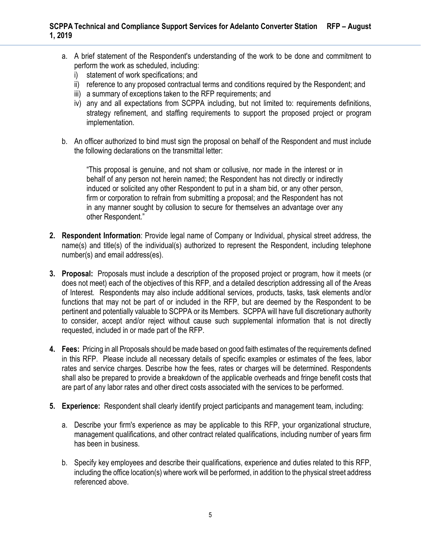- a. A brief statement of the Respondent's understanding of the work to be done and commitment to perform the work as scheduled, including:
	- i) statement of work specifications; and
	- ii) reference to any proposed contractual terms and conditions required by the Respondent; and
	- iii) a summary of exceptions taken to the RFP requirements; and
	- iv) any and all expectations from SCPPA including, but not limited to: requirements definitions, strategy refinement, and staffing requirements to support the proposed project or program implementation.
- b. An officer authorized to bind must sign the proposal on behalf of the Respondent and must include the following declarations on the transmittal letter:

"This proposal is genuine, and not sham or collusive, nor made in the interest or in behalf of any person not herein named; the Respondent has not directly or indirectly induced or solicited any other Respondent to put in a sham bid, or any other person, firm or corporation to refrain from submitting a proposal; and the Respondent has not in any manner sought by collusion to secure for themselves an advantage over any other Respondent."

- **2. Respondent Information**: Provide legal name of Company or Individual, physical street address, the name(s) and title(s) of the individual(s) authorized to represent the Respondent, including telephone number(s) and email address(es).
- **3. Proposal:** Proposals must include a description of the proposed project or program, how it meets (or does not meet) each of the objectives of this RFP, and a detailed description addressing all of the Areas of Interest. Respondents may also include additional services, products, tasks, task elements and/or functions that may not be part of or included in the RFP, but are deemed by the Respondent to be pertinent and potentially valuable to SCPPA or its Members. SCPPA will have full discretionary authority to consider, accept and/or reject without cause such supplemental information that is not directly requested, included in or made part of the RFP.
- **4. Fees:** Pricing in all Proposals should be made based on good faith estimates of the requirements defined in this RFP. Please include all necessary details of specific examples or estimates of the fees, labor rates and service charges. Describe how the fees, rates or charges will be determined. Respondents shall also be prepared to provide a breakdown of the applicable overheads and fringe benefit costs that are part of any labor rates and other direct costs associated with the services to be performed.
- **5. Experience:** Respondent shall clearly identify project participants and management team, including:
	- a. Describe your firm's experience as may be applicable to this RFP, your organizational structure, management qualifications, and other contract related qualifications, including number of years firm has been in business.
	- b. Specify key employees and describe their qualifications, experience and duties related to this RFP, including the office location(s) where work will be performed, in addition to the physical street address referenced above.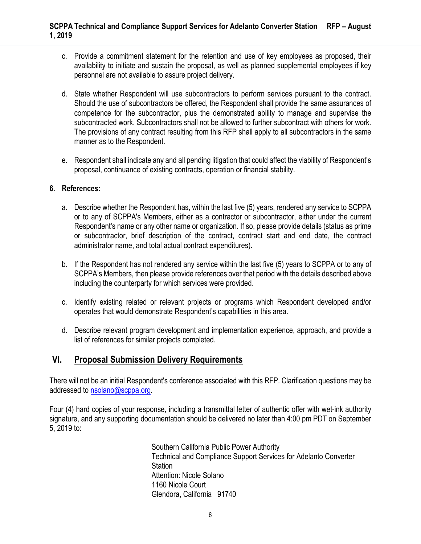- c. Provide a commitment statement for the retention and use of key employees as proposed, their availability to initiate and sustain the proposal, as well as planned supplemental employees if key personnel are not available to assure project delivery.
- d. State whether Respondent will use subcontractors to perform services pursuant to the contract. Should the use of subcontractors be offered, the Respondent shall provide the same assurances of competence for the subcontractor, plus the demonstrated ability to manage and supervise the subcontracted work. Subcontractors shall not be allowed to further subcontract with others for work. The provisions of any contract resulting from this RFP shall apply to all subcontractors in the same manner as to the Respondent.
- e. Respondent shall indicate any and all pending litigation that could affect the viability of Respondent's proposal, continuance of existing contracts, operation or financial stability.

#### **6. References:**

- a. Describe whether the Respondent has, within the last five (5) years, rendered any service to SCPPA or to any of SCPPA's Members, either as a contractor or subcontractor, either under the current Respondent's name or any other name or organization. If so, please provide details (status as prime or subcontractor, brief description of the contract, contract start and end date, the contract administrator name, and total actual contract expenditures).
- b. If the Respondent has not rendered any service within the last five (5) years to SCPPA or to any of SCPPA's Members, then please provide references over that period with the details described above including the counterparty for which services were provided.
- c. Identify existing related or relevant projects or programs which Respondent developed and/or operates that would demonstrate Respondent's capabilities in this area.
- d. Describe relevant program development and implementation experience, approach, and provide a list of references for similar projects completed.

## **VI. Proposal Submission Delivery Requirements**

There will not be an initial Respondent's conference associated with this RFP. Clarification questions may be addressed to nsolano@scppa.org.

Four (4) hard copies of your response, including a transmittal letter of authentic offer with wet-ink authority signature, and any supporting documentation should be delivered no later than 4:00 pm PDT on September 5, 2019 to:

> Southern California Public Power Authority Technical and Compliance Support Services for Adelanto Converter **Station** Attention: Nicole Solano 1160 Nicole Court Glendora, California 91740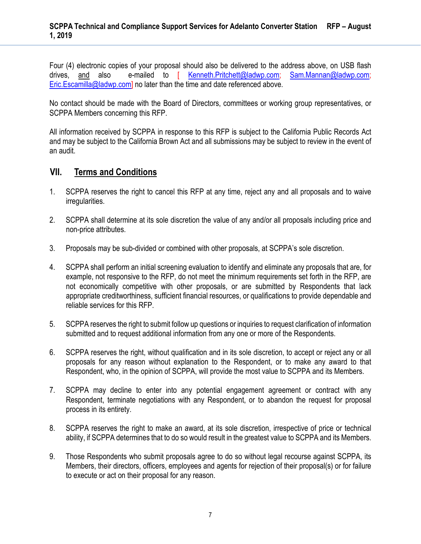Four (4) electronic copies of your proposal should also be delivered to the address above, on USB flash drives, and also e-mailed to [ Kenneth.Pritchett@ladwp.com; Sam.Mannan@ladwp.com; Eric.Escamilla@ladwp.com] no later than the time and date referenced above.

No contact should be made with the Board of Directors, committees or working group representatives, or SCPPA Members concerning this RFP.

All information received by SCPPA in response to this RFP is subject to the California Public Records Act and may be subject to the California Brown Act and all submissions may be subject to review in the event of an audit.

## **VII. Terms and Conditions**

- 1. SCPPA reserves the right to cancel this RFP at any time, reject any and all proposals and to waive irregularities.
- 2. SCPPA shall determine at its sole discretion the value of any and/or all proposals including price and non-price attributes.
- 3. Proposals may be sub-divided or combined with other proposals, at SCPPA's sole discretion.
- 4. SCPPA shall perform an initial screening evaluation to identify and eliminate any proposals that are, for example, not responsive to the RFP, do not meet the minimum requirements set forth in the RFP, are not economically competitive with other proposals, or are submitted by Respondents that lack appropriate creditworthiness, sufficient financial resources, or qualifications to provide dependable and reliable services for this RFP.
- 5. SCPPA reserves the right to submit follow up questions or inquiries to request clarification of information submitted and to request additional information from any one or more of the Respondents.
- 6. SCPPA reserves the right, without qualification and in its sole discretion, to accept or reject any or all proposals for any reason without explanation to the Respondent, or to make any award to that Respondent, who, in the opinion of SCPPA, will provide the most value to SCPPA and its Members.
- 7. SCPPA may decline to enter into any potential engagement agreement or contract with any Respondent, terminate negotiations with any Respondent, or to abandon the request for proposal process in its entirety.
- 8. SCPPA reserves the right to make an award, at its sole discretion, irrespective of price or technical ability, if SCPPA determines that to do so would result in the greatest value to SCPPA and its Members.
- 9. Those Respondents who submit proposals agree to do so without legal recourse against SCPPA, its Members, their directors, officers, employees and agents for rejection of their proposal(s) or for failure to execute or act on their proposal for any reason.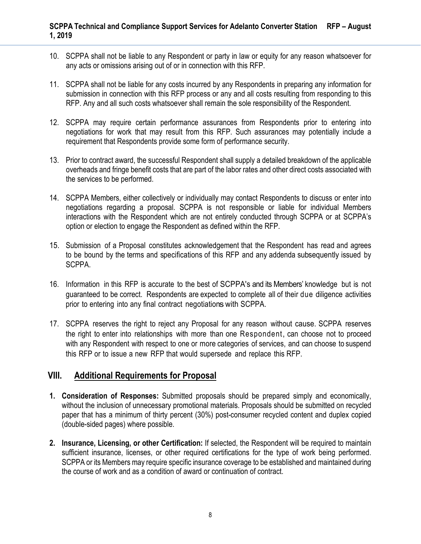- 10. SCPPA shall not be liable to any Respondent or party in law or equity for any reason whatsoever for any acts or omissions arising out of or in connection with this RFP.
- 11. SCPPA shall not be liable for any costs incurred by any Respondents in preparing any information for submission in connection with this RFP process or any and all costs resulting from responding to this RFP. Any and all such costs whatsoever shall remain the sole responsibility of the Respondent.
- 12. SCPPA may require certain performance assurances from Respondents prior to entering into negotiations for work that may result from this RFP. Such assurances may potentially include a requirement that Respondents provide some form of performance security.
- 13. Prior to contract award, the successful Respondent shall supply a detailed breakdown of the applicable overheads and fringe benefit costs that are part of the labor rates and other direct costs associated with the services to be performed.
- 14. SCPPA Members, either collectively or individually may contact Respondents to discuss or enter into negotiations regarding a proposal. SCPPA is not responsible or liable for individual Members interactions with the Respondent which are not entirely conducted through SCPPA or at SCPPA's option or election to engage the Respondent as defined within the RFP.
- 15. Submission of a Proposal constitutes acknowledgement that the Respondent has read and agrees to be bound by the terms and specifications of this RFP and any addenda subsequently issued by SCPPA.
- 16. Information in this RFP is accurate to the best of SCPPA's and its Members' knowledge but is not guaranteed to be correct. Respondents are expected to complete all of their due diligence activities prior to entering into any final contract negotiations with SCPPA.
- 17. SCPPA reserves the right to reject any Proposal for any reason without cause. SCPPA reserves the right to enter into relationships with more than one Respondent, can choose not to proceed with any Respondent with respect to one or more categories of services, and can choose to suspend this RFP or to issue a new RFP that would supersede and replace this RFP.

## **VIII. Additional Requirements for Proposal**

- **1. Consideration of Responses:** Submitted proposals should be prepared simply and economically, without the inclusion of unnecessary promotional materials. Proposals should be submitted on recycled paper that has a minimum of thirty percent (30%) post-consumer recycled content and duplex copied (double-sided pages) where possible.
- **2. Insurance, Licensing, or other Certification:** If selected, the Respondent will be required to maintain sufficient insurance, licenses, or other required certifications for the type of work being performed. SCPPA or its Members may require specific insurance coverage to be established and maintained during the course of work and as a condition of award or continuation of contract.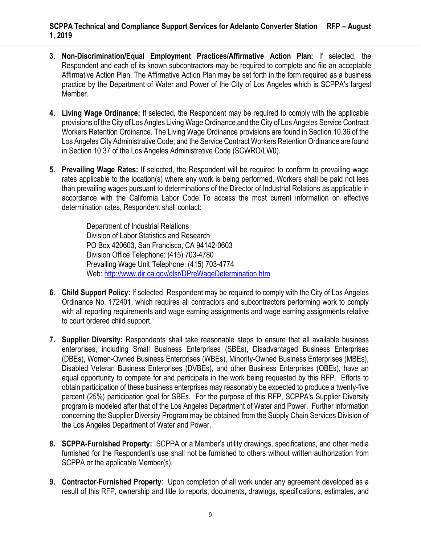- **3. Non-Discrimination/Equal Employment Practices/Affirmative Action Plan:** If selected, the Respondent and each of its known subcontractors may be required to complete and file an acceptable Affirmative Action Plan. The Affirmative Action Plan may be set forth in the form required as a business practice by the Department of Water and Power of the City of Los Angeles which is SCPPA's largest Member.
- **4. Living Wage Ordinance:** If selected, the Respondent may be required to comply with the applicable provisions of the City of Los Angles Living Wage Ordinance and the City of Los Angeles Service Contract Workers Retention Ordinance. The Living Wage Ordinance provisions are found in Section 10.36 of the Los Angeles City Administrative Code; and the Service Contract Workers Retention Ordinance are found in Section 10.37 of the Los Angeles Administrative Code (SCWRO/LW0).
- **5. Prevailing Wage Rates:** If selected, the Respondent will be required to conform to prevailing wage rates applicable to the location(s) where any work is being performed. Workers shall be paid not less than prevailing wages pursuant to determinations of the Director of Industrial Relations as applicable in accordance with the California Labor Code. To access the most current information on effective determination rates, Respondent shall contact:

Department of Industrial Relations Division of Labor Statistics and Research PO Box 420603, San Francisco, CA 94142-0603 Division Office Telephone: (415) 703-4780 Prevailing Wage Unit Telephone: (415) 703-4774 Web: http://www.dir.ca.gov/dlsr/DPreWageDetermination.htm

- **6. Child Support Policy:** If selected, Respondent may be required to comply with the City of Los Angeles Ordinance No. 172401, which requires all contractors and subcontractors performing work to comply with all reporting requirements and wage earning assignments and wage earning assignments relative to court ordered child support.
- **7. Supplier Diversity:** Respondents shall take reasonable steps to ensure that all available business enterprises, including Small Business Enterprises (SBEs), Disadvantaged Business Enterprises (DBEs), Women-Owned Business Enterprises (WBEs), Minority-Owned Business Enterprises (MBEs), Disabled Veteran Business Enterprises (DVBEs), and other Business Enterprises (OBEs), have an equal opportunity to compete for and participate in the work being requested by this RFP. Efforts to obtain participation of these business enterprises may reasonably be expected to produce a twenty-five percent (25%) participation goal for SBEs. For the purpose of this RFP, SCPPA's Supplier Diversity program is modeled after that of the Los Angeles Department of Water and Power. Further information concerning the Supplier Diversity Program may be obtained from the Supply Chain Services Division of the Los Angeles Department of Water and Power.
- **8. SCPPA-Furnished Property:** SCPPA or a Member's utility drawings, specifications, and other media furnished for the Respondent's use shall not be furnished to others without written authorization from SCPPA or the applicable Member(s).
- **9. Contractor-Furnished Property**: Upon completion of all work under any agreement developed as a result of this RFP, ownership and title to reports, documents, drawings, specifications, estimates, and